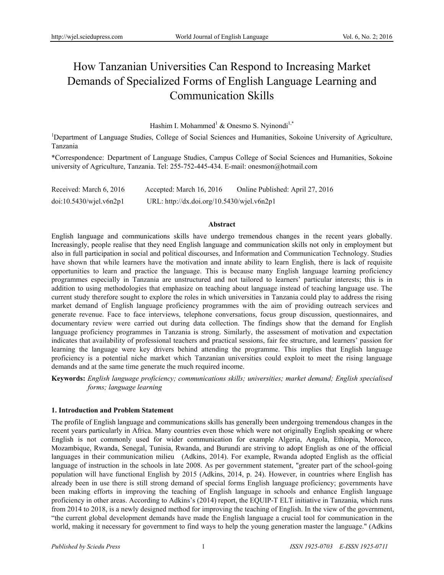# How Tanzanian Universities Can Respond to Increasing Market Demands of Specialized Forms of English Language Learning and Communication Skills

Hashim I. Mohammed<sup>1</sup> & Onesmo S. Nyinondi<sup>1,\*</sup>

<sup>1</sup>Department of Language Studies, College of Social Sciences and Humanities, Sokoine University of Agriculture, Tanzania

\*Correspondence: Department of Language Studies, Campus College of Social Sciences and Humanities, Sokoine university of Agriculture, Tanzania. Tel: 255-752-445-434. E-mail: onesmon@hotmail.com

Received: March 6, 2016 Accepted: March 16, 2016 Online Published: April 27, 2016 doi:10.5430/wjel.v6n2p1 URL: http://dx.doi.org/10.5430/wjel.v6n2p1

#### **Abstract**

English language and communications skills have undergo tremendous changes in the recent years globally. Increasingly, people realise that they need English language and communication skills not only in employment but also in full participation in social and political discourses, and Information and Communication Technology. Studies have shown that while learners have the motivation and innate ability to learn English, there is lack of requisite opportunities to learn and practice the language. This is because many English language learning proficiency programmes especially in Tanzania are unstructured and not tailored to learners' particular interests; this is in addition to using methodologies that emphasize on teaching about language instead of teaching language use. The current study therefore sought to explore the roles in which universities in Tanzania could play to address the rising market demand of English language proficiency programmes with the aim of providing outreach services and generate revenue. Face to face interviews, telephone conversations, focus group discussion, questionnaires, and documentary review were carried out during data collection. The findings show that the demand for English language proficiency programmes in Tanzania is strong. Similarly, the assessment of motivation and expectation indicates that availability of professional teachers and practical sessions, fair fee structure, and learners' passion for learning the language were key drivers behind attending the programme. This implies that English language proficiency is a potential niche market which Tanzanian universities could exploit to meet the rising language demands and at the same time generate the much required income.

**Keywords:** *English language proficiency; communications skills; universities; market demand; English specialised forms; language learning* 

# **1. Introduction and Problem Statement**

The profile of English language and communications skills has generally been undergoing tremendous changes in the recent years particularly in Africa. Many countries even those which were not originally English speaking or where English is not commonly used for wider communication for example Algeria, Angola, Ethiopia, Morocco, Mozambique, Rwanda, Senegal, Tunisia, Rwanda, and Burundi are striving to adopt English as one of the official languages in their communication milieu (Adkins, 2014). For example, Rwanda adopted English as the official language of instruction in the schools in late 2008. As per government statement, "greater part of the school-going population will have functional English by 2015 (Adkins, 2014, p. 24). However, in countries where English has already been in use there is still strong demand of special forms English language proficiency; governments have been making efforts in improving the teaching of English language in schools and enhance English language proficiency in other areas. According to Adkins's (2014) report, the EQUIP-T ELT initiative in Tanzania, which runs from 2014 to 2018, is a newly designed method for improving the teaching of English. In the view of the government, "the current global development demands have made the English language a crucial tool for communication in the world, making it necessary for government to find ways to help the young generation master the language." (Adkins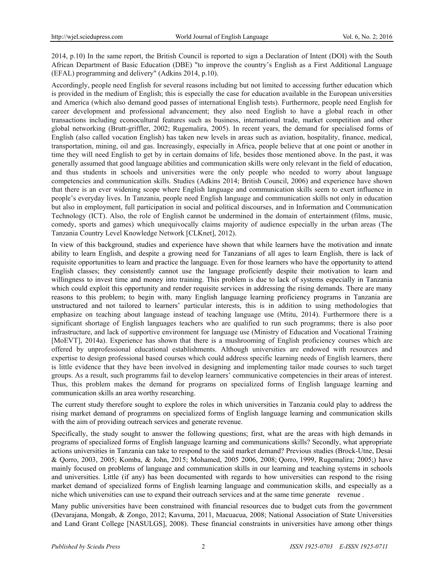2014, p.10) In the same report, the British Council is reported to sign a Declaration of Intent (DOI) with the South African Department of Basic Education (DBE) "to improve the country's English as a First Additional Language (EFAL) programming and delivery" (Adkins 2014, p.10).

Accordingly, people need English for several reasons including but not limited to accessing further education which is provided in the medium of English; this is especially the case for education available in the European universities and America (which also demand good passes of international English tests). Furthermore, people need English for career development and professional advancement; they also need English to have a global reach in other transactions including econocultural features such as business, international trade, market competition and other global networking (Brutt-griffler, 2002; Rugemalira, 2005). In recent years, the demand for specialised forms of English (also called vocation English) has taken new levels in areas such as aviation, hospitality, finance, medical, transportation, mining, oil and gas. Increasingly, especially in Africa, people believe that at one point or another in time they will need English to get by in certain domains of life, besides those mentioned above. In the past, it was generally assumed that good language abilities and communication skills were only relevant in the field of education, and thus students in schools and universities were the only people who needed to worry about language competencies and communication skills. Studies (Adkins 2014; British Council, 2006) and experience have shown that there is an ever widening scope where English language and communication skills seem to exert influence in people's everyday lives. In Tanzania, people need English language and communication skills not only in education but also in employment, full participation in social and political discourses, and in Information and Communication Technology (ICT). Also, the role of English cannot be undermined in the domain of entertainment (films, music, comedy, sports and games) which unequivocally claims majority of audience especially in the urban areas (The Tanzania Country Level Knowledge Network [CLKnet], 2012).

In view of this background, studies and experience have shown that while learners have the motivation and innate ability to learn English, and despite a growing need for Tanzanians of all ages to learn English, there is lack of requisite opportunities to learn and practice the language. Even for those learners who have the opportunity to attend English classes; they consistently cannot use the language proficiently despite their motivation to learn and willingness to invest time and money into training. This problem is due to lack of systems especially in Tanzania which could exploit this opportunity and render requisite services in addressing the rising demands. There are many reasons to this problem; to begin with, many English language learning proficiency programs in Tanzania are unstructured and not tailored to learners' particular interests, this is in addition to using methodologies that emphasize on teaching about language instead of teaching language use (Mtitu, 2014). Furthermore there is a significant shortage of English languages teachers who are qualified to run such programms; there is also poor infrastructure, and lack of supportive environment for language use (Ministry of Education and Vocational Training [MoEVT], 2014a). Experience has shown that there is a mushrooming of English proficiency courses which are offered by unprofessional educational establishments. Although universities are endowed with resources and expertise to design professional based courses which could address specific learning needs of English learners, there is little evidence that they have been involved in designing and implementing tailor made courses to such target groups. As a result, such programms fail to develop learners' communicative competencies in their areas of interest. Thus, this problem makes the demand for programs on specialized forms of English language learning and communication skills an area worthy researching.

The current study therefore sought to explore the roles in which universities in Tanzania could play to address the rising market demand of programms on specialized forms of English language learning and communication skills with the aim of providing outreach services and generate revenue.

Specifically, the study sought to answer the following questions; first, what are the areas with high demands in programs of specialized forms of English language learning and communications skills? Secondly, what appropriate actions universities in Tanzania can take to respond to the said market demand? Previous studies (Brock-Utne, Desai & Qorro, 2003, 2005; Komba, & John, 2015; Mohamed, 2005 2006, 2008; Qorro, 1999, Rugemalira; 2005;) have mainly focused on problems of language and communication skills in our learning and teaching systems in schools and universities. Little (if any) has been documented with regards to how universities can respond to the rising market demand of specialized forms of English learning language and communication skills, and especially as a niche which universities can use to expand their outreach services and at the same time generate revenue .

Many public universities have been constrained with financial resources due to budget cuts from the government (Devarajana, Mongab, & Zongo, 2012; Kavuma, 2011, Macuacua, 2008; National Association of State Universities and Land Grant College [NASULGS], 2008). These financial constraints in universities have among other things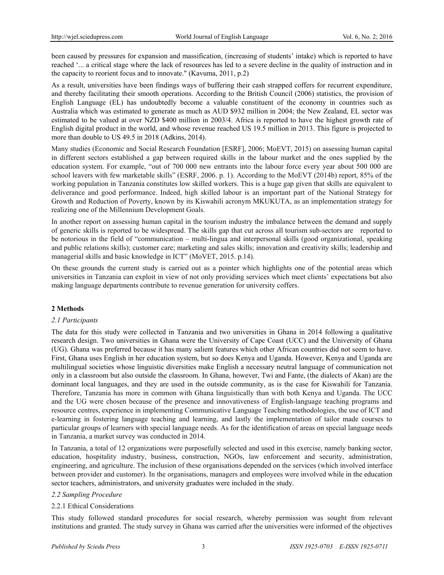been caused by pressures for expansion and massification, (increasing of students' intake) which is reported to have reached '... a critical stage where the lack of resources has led to a severe decline in the quality of instruction and in the capacity to reorient focus and to innovate." (Kavuma, 2011, p.2)

As a result, universities have been findings ways of buffering their cash strapped coffers for recurrent expenditure, and thereby facilitating their smooth operations. According to the British Council (2006) statistics, the provision of English Language (EL) has undoubtedly become a valuable constituent of the economy in countries such as Australia which was estimated to generate as much as AUD \$932 million in 2004; the New Zealand, EL sector was estimated to be valued at over NZD \$400 million in 2003/4. Africa is reported to have the highest growth rate of English digital product in the world, and whose revenue reached US 19.5 million in 2013. This figure is projected to more than double to US 49.5 in 2018 (Adkins, 2014).

Many studies (Economic and Social Research Foundation [ESRF], 2006; MoEVT, 2015) on assessing human capital in different sectors established a gap between required skills in the labour market and the ones supplied by the education system. For example, "out of 700 000 new entrants into the labour force every year about 500 000 are school leavers with few marketable skills" (ESRF, 2006. p. 1). According to the MoEVT (2014b) report, 85% of the working population in Tanzania constitutes low skilled workers. This is a huge gap given that skills are equivalent to deliverance and good performance. Indeed, high skilled labour is an important part of the National Strategy for Growth and Reduction of Poverty, known by its Kiswahili acronym MKUKUTA, as an implementation strategy for realizing one of the Millennium Development Goals.

In another report on assessing human capital in the tourism industry the imbalance between the demand and supply of generic skills is reported to be widespread. The skills gap that cut across all tourism sub-sectors are reported to be notorious in the field of "communication – multi-lingua and interpersonal skills (good organizational, speaking and public relations skills); customer care; marketing and sales skills; innovation and creativity skills; leadership and managerial skills and basic knowledge in ICT" (MoVET, 2015. p.14).

On these grounds the current study is carried out as a pointer which highlights one of the potential areas which universities in Tanzania can exploit in view of not only providing services which meet clients' expectations but also making language departments contribute to revenue generation for university coffers.

# **2 Methods**

# *2.1 Participants*

The data for this study were collected in Tanzania and two universities in Ghana in 2014 following a qualitative research design. Two universities in Ghana were the University of Cape Coast (UCC) and the University of Ghana (UG). Ghana was preferred because it has many salient features which other African countries did not seem to have. First, Ghana uses English in her education system, but so does Kenya and Uganda. However, Kenya and Uganda are multilingual societies whose linguistic diversities make English a necessary neutral language of communication not only in a classroom but also outside the classroom. In Ghana, however, Twi and Fante, (the dialects of Akan) are the dominant local languages, and they are used in the outside community, as is the case for Kiswahili for Tanzania. Therefore, Tanzania has more in common with Ghana linguistically than with both Kenya and Uganda. The UCC and the UG were chosen because of the presence and innovativeness of English-language teaching programs and resource centres, experience in implementing Communicative Language Teaching methodologies, the use of ICT and e-learning in fostering language teaching and learning, and lastly the implementation of tailor made courses to particular groups of learners with special language needs. As for the identification of areas on special language needs in Tanzania, a market survey was conducted in 2014.

In Tanzania, a total of 12 organizations were purposefully selected and used in this exercise, namely banking sector, education, hospitality industry, business, construction, NGOs, law enforcement and security, administration, engineering, and agriculture. The inclusion of these organisations depended on the services (which involved interface between provider and customer). In the organisations, managers and employees were involved while in the education sector teachers, administrators, and university graduates were included in the study.

# *2.2 Sampling Procedure*

# 2.2.1 Ethical Considerations

This study followed standard procedures for social research, whereby permission was sought from relevant institutions and granted. The study survey in Ghana was carried after the universities were informed of the objectives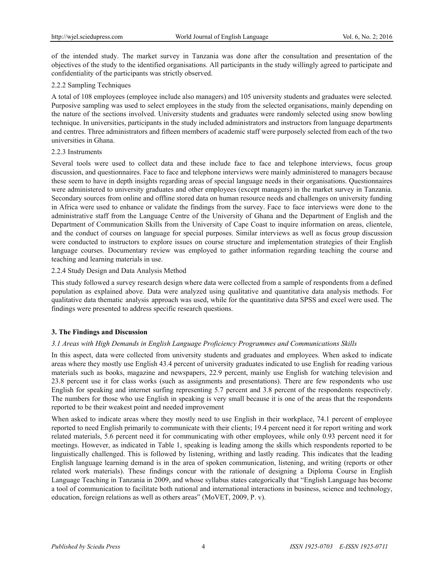of the intended study. The market survey in Tanzania was done after the consultation and presentation of the objectives of the study to the identified organisations. All participants in the study willingly agreed to participate and confidentiality of the participants was strictly observed.

# 2.2.2 Sampling Techniques

A total of 108 employees (employee include also managers) and 105 university students and graduates were selected. Purposive sampling was used to select employees in the study from the selected organisations, mainly depending on the nature of the sections involved. University students and graduates were randomly selected using snow bowling technique. In universities, participants in the study included administrators and instructors from language departments and centres. Three administrators and fifteen members of academic staff were purposely selected from each of the two universities in Ghana.

# 2.2.3 Instruments

Several tools were used to collect data and these include face to face and telephone interviews, focus group discussion, and questionnaires. Face to face and telephone interviews were mainly administered to managers because these seem to have in depth insights regarding areas of special language needs in their organisations. Questionnaires were administered to university graduates and other employees (except managers) in the market survey in Tanzania. Secondary sources from online and offline stored data on human resource needs and challenges on university funding in Africa were used to enhance or validate the findings from the survey. Face to face interviews were done to the administrative staff from the Language Centre of the University of Ghana and the Department of English and the Department of Communication Skills from the University of Cape Coast to inquire information on areas, clientele, and the conduct of courses on language for special purposes. Similar interviews as well as focus group discussion were conducted to instructors to explore issues on course structure and implementation strategies of their English language courses. Documentary review was employed to gather information regarding teaching the course and teaching and learning materials in use.

#### 2.2.4 Study Design and Data Analysis Method

This study followed a survey research design where data were collected from a sample of respondents from a defined population as explained above. Data were analyzed using qualitative and quantitative data analysis methods. For qualitative data thematic analysis approach was used, while for the quantitative data SPSS and excel were used. The findings were presented to address specific research questions.

# **3. The Findings and Discussion**

# *3.1 Areas with High Demands in English Language Proficiency Programmes and Communications Skills*

In this aspect, data were collected from university students and graduates and employees. When asked to indicate areas where they mostly use English 43.4 percent of university graduates indicated to use English for reading various materials such as books, magazine and newspapers, 22.9 percent, mainly use English for watching television and 23.8 percent use it for class works (such as assignments and presentations). There are few respondents who use English for speaking and internet surfing representing 5.7 percent and 3.8 percent of the respondents respectively. The numbers for those who use English in speaking is very small because it is one of the areas that the respondents reported to be their weakest point and needed improvement

When asked to indicate areas where they mostly need to use English in their workplace, 74.1 percent of employee reported to need English primarily to communicate with their clients; 19.4 percent need it for report writing and work related materials, 5.6 percent need it for communicating with other employees, while only 0.93 percent need it for meetings. However, as indicated in Table 1, speaking is leading among the skills which respondents reported to be linguistically challenged. This is followed by listening, writhing and lastly reading. This indicates that the leading English language learning demand is in the area of spoken communication, listening, and writing (reports or other related work materials). These findings concur with the rationale of designing a Diploma Course in English Language Teaching in Tanzania in 2009, and whose syllabus states categorically that "English Language has become a tool of communication to facilitate both national and international interactions in business, science and technology, education, foreign relations as well as others areas" (MoVET, 2009, P. v).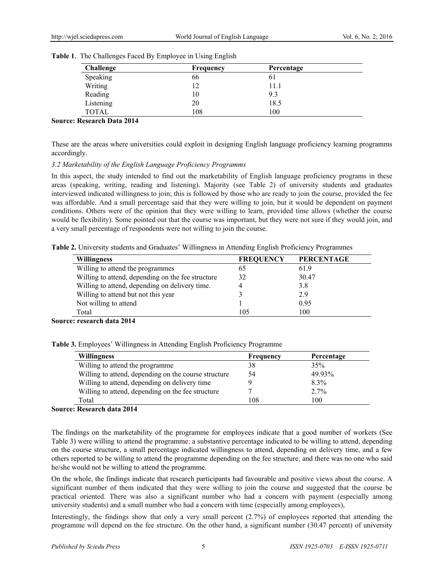| Challenge    | Frequency | Percentage |  |
|--------------|-----------|------------|--|
| Speaking     | 66        | ΩI         |  |
| Writing      | 12        | 11.1       |  |
| Reading      | 10        | 9.3        |  |
| Listening    | 20        | 18.5       |  |
| <b>TOTAL</b> | 108       | 100        |  |

**Table 1**. The Challenges Faced By Employee in Using English

#### **Source: Research Data 2014**

These are the areas where universities could exploit in designing English language proficiency learning programms accordingly.

#### *3.2 Marketability of the English Language Proficiency Programms*

In this aspect, the study intended to find out the marketability of English language proficiency programs in these areas (speaking, writing, reading and listening). Majority (see Table 2) of university students and graduates interviewed indicated willingness to join; this is followed by those who are ready to join the course, provided the fee was affordable. And a small percentage said that they were willing to join, but it would be dependent on payment conditions. Others were of the opinion that they were willing to learn, provided time allows (whether the course would be flexibility). Some pointed out that the course was important, but they were not sure if they would join, and a very small percentage of respondents were not willing to join the course.

**Table 2.** University students and Graduates' Willingness in Attending English Proficiency Programmes

| <b>Willingness</b>                                | <b>FREQUENCY</b> | <b>PERCENTAGE</b> |
|---------------------------------------------------|------------------|-------------------|
| Willing to attend the programmes                  | 65               | 619               |
| Willing to attend, depending on the fee structure | 32               | 30.47             |
| Willing to attend, depending on delivery time.    | 4                | 3.8               |
| Willing to attend but not this year               |                  | 2.9               |
| Not willing to attend                             |                  | 0.95              |
| Total                                             | 105              | 100               |

#### **Source: research data 2014**

|  | Table 3. Employees' Willingness in Attending English Proficiency Programme |
|--|----------------------------------------------------------------------------|
|  |                                                                            |

| <b>Willingness</b>                                   | Frequency | Percentage |
|------------------------------------------------------|-----------|------------|
| Willing to attend the programme.                     | 38        | 35%        |
| Willing to attend, depending on the course structure | 54        | 49 93%     |
| Willing to attend, depending on delivery time        |           | 8.3%       |
| Willing to attend, depending on the fee structure    |           | 2.7%       |
| Total                                                | 108       | 100        |

#### **Source: Research data 2014**

The findings on the marketability of the programme for employees indicate that a good number of workers (See Table 3) were willing to attend the programme; a substantive percentage indicated to be willing to attend, depending on the course structure, a small percentage indicated willingness to attend, depending on delivery time, and a few others reported to be willing to attend the programme depending on the fee structure; and there was no one who said he/she would not be willing to attend the programme.

On the whole, the findings indicate that research participants had favourable and positive views about the course. A significant number of them indicated that they were willing to join the course and suggested that the course be practical oriented. There was also a significant number who had a concern with payment (especially among university students) and a small number who had a concern with time (especially among employees),

Interestingly, the findings show that only a very small percent (2.7%) of employees reported that attending the programme will depend on the fee structure. On the other hand, a significant number (30.47 percent) of university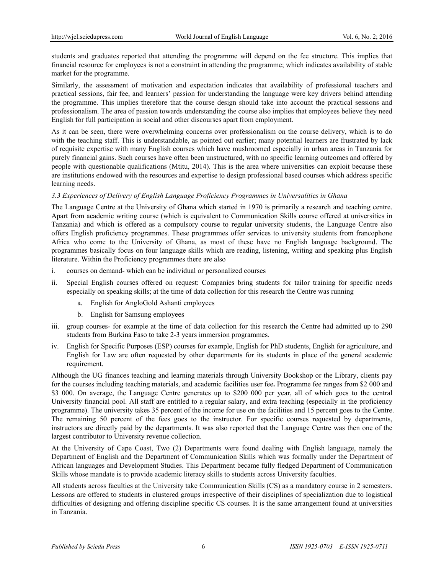students and graduates reported that attending the programme will depend on the fee structure. This implies that financial resource for employees is not a constraint in attending the programme; which indicates availability of stable market for the programme.

Similarly, the assessment of motivation and expectation indicates that availability of professional teachers and practical sessions, fair fee, and learners' passion for understanding the language were key drivers behind attending the programme. This implies therefore that the course design should take into account the practical sessions and professionalism. The area of passion towards understanding the course also implies that employees believe they need English for full participation in social and other discourses apart from employment.

As it can be seen, there were overwhelming concerns over professionalism on the course delivery, which is to do with the teaching staff. This is understandable, as pointed out earlier; many potential learners are frustrated by lack of requisite expertise with many English courses which have mushroomed especially in urban areas in Tanzania for purely financial gains. Such courses have often been unstructured, with no specific learning outcomes and offered by people with questionable qualifications (Mtitu, 2014). This is the area where universities can exploit because these are institutions endowed with the resources and expertise to design professional based courses which address specific learning needs.

# *3.3 Experiences of Delivery of English Language Proficiency Programmes in Universalities in Ghana*

The Language Centre at the University of Ghana which started in 1970 is primarily a research and teaching centre. Apart from academic writing course (which is equivalent to Communication Skills course offered at universities in Tanzania) and which is offered as a compulsory course to regular university students, the Language Centre also offers English proficiency programmes. These programmes offer services to university students from francophone Africa who come to the University of Ghana, as most of these have no English language background. The programmes basically focus on four language skills which are reading, listening, writing and speaking plus English literature. Within the Proficiency programmes there are also

- i. courses on demand- which can be individual or personalized courses
- ii. Special English courses offered on request: Companies bring students for tailor training for specific needs especially on speaking skills; at the time of data collection for this research the Centre was running
	- a. English for AngloGold Ashanti employees
	- b. English for Samsung employees
- iii. group courses- for example at the time of data collection for this research the Centre had admitted up to 290 students from Burkina Faso to take 2-3 years immersion programmes.
- iv. English for Specific Purposes (ESP) courses for example, English for PhD students, English for agriculture, and English for Law are often requested by other departments for its students in place of the general academic requirement.

Although the UG finances teaching and learning materials through University Bookshop or the Library, clients pay for the courses including teaching materials, and academic facilities user fee**.** Programme fee ranges from \$2 000 and \$3 000. On average, the Language Centre generates up to \$200 000 per year, all of which goes to the central University financial pool. All staff are entitled to a regular salary, and extra teaching (especially in the proficiency programme). The university takes 35 percent of the income for use on the facilities and 15 percent goes to the Centre. The remaining 50 percent of the fees goes to the instructor. For specific courses requested by departments, instructors are directly paid by the departments. It was also reported that the Language Centre was then one of the largest contributor to University revenue collection.

At the University of Cape Coast, Two (2) Departments were found dealing with English language, namely the Department of English and the Department of Communication Skills which was formally under the Department of African languages and Development Studies. This Department became fully fledged Department of Communication Skills whose mandate is to provide academic literacy skills to students across University faculties.

All students across faculties at the University take Communication Skills (CS) as a mandatory course in 2 semesters. Lessons are offered to students in clustered groups irrespective of their disciplines of specialization due to logistical difficulties of designing and offering discipline specific CS courses. It is the same arrangement found at universities in Tanzania.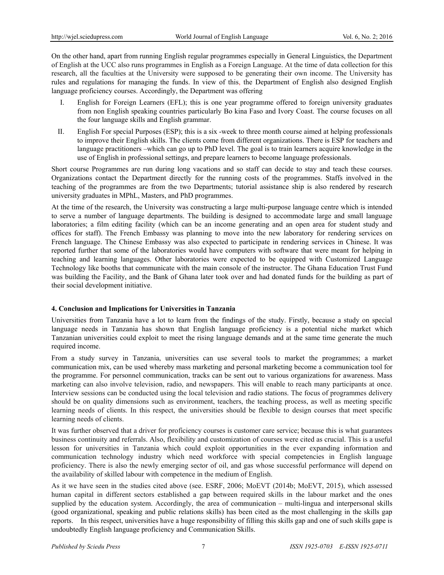On the other hand, apart from running English regular programmes especially in General Linguistics, the Department of English at the UCC also runs programmes in English as a Foreign Language. At the time of data collection for this research, all the faculties at the University were supposed to be generating their own income. The University has rules and regulations for managing the funds. In view of this, the Department of English also designed English language proficiency courses. Accordingly, the Department was offering

- I. English for Foreign Learners (EFL); this is one year programme offered to foreign university graduates from non English speaking countries particularly Bo kina Faso and Ivory Coast. The course focuses on all the four language skills and English grammar.
- II. English For special Purposes (ESP); this is a six -week to three month course aimed at helping professionals to improve their English skills. The clients come from different organizations. There is ESP for teachers and language practitioners –which can go up to PhD level. The goal is to train learners acquire knowledge in the use of English in professional settings, and prepare learners to become language professionals.

Short course Programmes are run during long vacations and so staff can decide to stay and teach these courses. Organizations contact the Department directly for the running costs of the programmes. Staffs involved in the teaching of the programmes are from the two Departments; tutorial assistance ship is also rendered by research university graduates in MPhL, Masters, and PhD programmes.

At the time of the research, the University was constructing a large multi-purpose language centre which is intended to serve a number of language departments. The building is designed to accommodate large and small language laboratories; a film editing facility (which can be an income generating and an open area for student study and offices for staff). The French Embassy was planning to move into the new laboratory for rendering services on French language. The Chinese Embassy was also expected to participate in rendering services in Chinese. It was reported further that some of the laboratories would have computers with software that were meant for helping in teaching and learning languages. Other laboratories were expected to be equipped with Customized Language Technology like booths that communicate with the main console of the instructor. The Ghana Education Trust Fund was building the Facility, and the Bank of Ghana later took over and had donated funds for the building as part of their social development initiative.

# **4. Conclusion and Implications for Universities in Tanzania**

Universities from Tanzania have a lot to learn from the findings of the study. Firstly, because a study on special language needs in Tanzania has shown that English language proficiency is a potential niche market which Tanzanian universities could exploit to meet the rising language demands and at the same time generate the much required income.

From a study survey in Tanzania, universities can use several tools to market the programmes; a market communication mix, can be used whereby mass marketing and personal marketing become a communication tool for the programme. For personnel communication, tracks can be sent out to various organizations for awareness. Mass marketing can also involve television, radio, and newspapers. This will enable to reach many participants at once. Interview sessions can be conducted using the local television and radio stations. The focus of programmes delivery should be on quality dimensions such as environment, teachers, the teaching process, as well as meeting specific learning needs of clients. In this respect, the universities should be flexible to design courses that meet specific learning needs of clients.

It was further observed that a driver for proficiency courses is customer care service; because this is what guarantees business continuity and referrals. Also, flexibility and customization of courses were cited as crucial. This is a useful lesson for universities in Tanzania which could exploit opportunities in the ever expanding information and communication technology industry which need workforce with special competencies in English language proficiency. There is also the newly emerging sector of oil, and gas whose successful performance will depend on the availability of skilled labour with competence in the medium of English.

As it we have seen in the studies cited above (see. ESRF, 2006; MoEVT (2014b; MoEVT, 2015), which assessed human capital in different sectors established a gap between required skills in the labour market and the ones supplied by the education system. Accordingly, the area of communication – multi-lingua and interpersonal skills (good organizational, speaking and public relations skills) has been cited as the most challenging in the skills gap reports. In this respect, universities have a huge responsibility of filling this skills gap and one of such skills gape is undoubtedly English language proficiency and Communication Skills.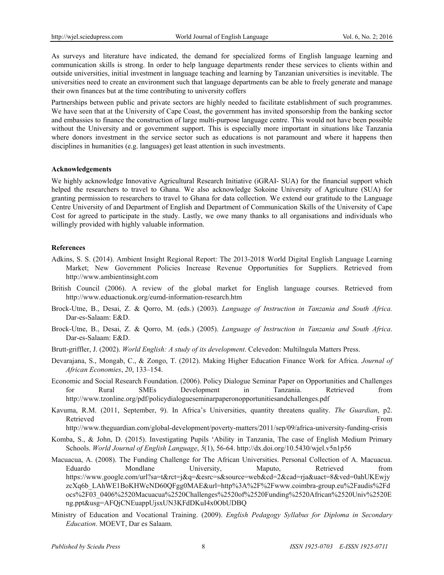As surveys and literature have indicated, the demand for specialized forms of English language learning and communication skills is strong. In order to help language departments render these services to clients within and outside universities, initial investment in language teaching and learning by Tanzanian universities is inevitable. The universities need to create an environment such that language departments can be able to freely generate and manage their own finances but at the time contributing to university coffers

Partnerships between public and private sectors are highly needed to facilitate establishment of such programmes. We have seen that at the University of Cape Coast, the government has invited sponsorship from the banking sector and embassies to finance the construction of large multi-purpose language centre. This would not have been possible without the University and or government support. This is especially more important in situations like Tanzania where donors investment in the service sector such as educations is not paramount and where it happens then disciplines in humanities (e.g. languages) get least attention in such investments.

#### **Acknowledgements**

We highly acknowledge Innovative Agricultural Research Initiative (iGRAI- SUA) for the financial support which helped the researchers to travel to Ghana. We also acknowledge Sokoine University of Agriculture (SUA) for granting permission to researchers to travel to Ghana for data collection. We extend our gratitude to the Language Centre University of and Department of English and Department of Communication Skills of the University of Cape Cost for agreed to participate in the study. Lastly, we owe many thanks to all organisations and individuals who willingly provided with highly valuable information.

# **References**

- Adkins, S. S. (2014). Ambient Insight Regional Report: The 2013-2018 World Digital English Language Learning Market; New Government Policies Increase Revenue Opportunities for Suppliers. Retrieved from http://www.ambientinsight.com
- British Council (2006). A review of the global market for English language courses. Retrieved from http://www.eduactionuk.org/eumd-information-research.htm
- Brock-Utne, B., Desai, Z. & Qorro, M. (eds.) (2003). *Language of Instruction in Tanzania and South Africa.* Dar-es-Salaam: E&D.
- Brock-Utne, B., Desai, Z. & Qorro, M. (eds.) (2005). *Language of Instruction in Tanzania and South Africa*. Dar-es-Salaam: E&D.
- Brutt-griffler, J. (2002). *World English: A study of its development*. Celevedon: Multilngula Matters Press.
- Devarajana, S., Mongab, C., & Zongo, T. (2012). Making Higher Education Finance Work for Africa. *Journal of African Economies*, *20*, 133–154.
- Economic and Social Research Foundation. (2006). Policy Dialogue Seminar Paper on Opportunities and Challenges for Rural SMEs Development in Tanzania. Retrieved from http://www.tzonline.org/pdf/policydialogueseminarpaperonopportunitiesandchallenges.pdf
- Kavuma, R.M. (2011, September, 9). In Africa's Universities, quantity threatens quality. *The Guardian*, p2. Retrieved From **From Executive Contract Contract Contract Contract Contract Contract Contract Contract Contract Contract Contract Contract Contract Contract Contract Contract Contract Contract Contract Contract Contract Co**

http://www.theguardian.com/global-development/poverty-matters/2011/sep/09/africa-university-funding-crisis

- Komba, S., & John, D. (2015). Investigating Pupils 'Ability in Tanzania, The case of English Medium Primary Schools. *World Journal of English Language*, *5*(1), 56-64. http://dx.doi.org/10.5430/wjel.v5n1p56
- Macuacua, A. (2008). The Funding Challenge for The African Universities. Personal Collection of A. Macuacua. Eduardo Mondlane University, Maputo, Retrieved from https://www.google.com/url?sa=t&rct=j&q=&esrc=s&source=web&cd=2&cad=rja&uact=8&ved=0ahUKEwjy zcXq6b\_LAhWE1BoKHWcND60QFgg0MAE&url=http%3A%2F%2Fwww.coimbra-group.eu%2Faudis%2Fd ocs%2F03\_0406%2520Macuacua%2520Challenges%2520of%2520Funding%2520African%2520Univ%2520E ng.ppt&usg=AFQjCNEuappUjsxUN3KFdDKuI4x0ObUDBQ
- Ministry of Education and Vocational Training. (2009). *English Pedagogy Syllabus for Diploma in Secondary Education*. MOEVT, Dar es Salaam.